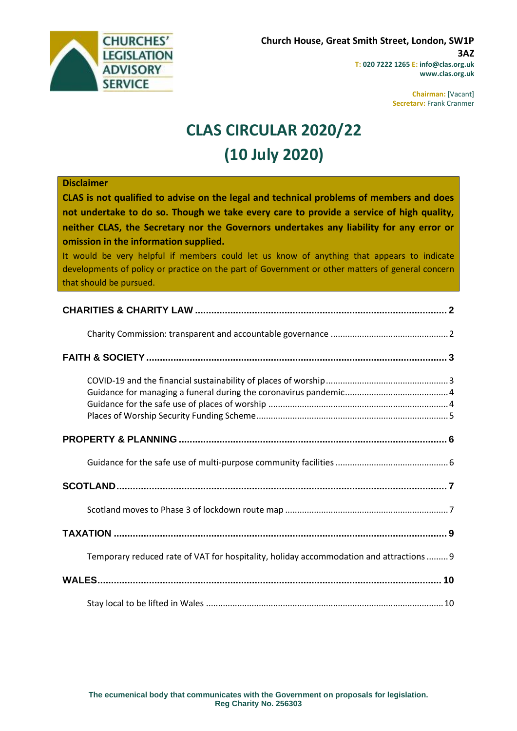

**Chairman:** [Vacant] **Secretary:** Frank Cranmer

# **CLAS CIRCULAR 2020/22 (10 July 2020)**

| <b>Disclaimer</b><br>CLAS is not qualified to advise on the legal and technical problems of members and does<br>not undertake to do so. Though we take every care to provide a service of high quality,<br>neither CLAS, the Secretary nor the Governors undertakes any liability for any error or<br>omission in the information supplied.<br>It would be very helpful if members could let us know of anything that appears to indicate<br>developments of policy or practice on the part of Government or other matters of general concern<br>that should be pursued. |
|--------------------------------------------------------------------------------------------------------------------------------------------------------------------------------------------------------------------------------------------------------------------------------------------------------------------------------------------------------------------------------------------------------------------------------------------------------------------------------------------------------------------------------------------------------------------------|
|                                                                                                                                                                                                                                                                                                                                                                                                                                                                                                                                                                          |
|                                                                                                                                                                                                                                                                                                                                                                                                                                                                                                                                                                          |
|                                                                                                                                                                                                                                                                                                                                                                                                                                                                                                                                                                          |
|                                                                                                                                                                                                                                                                                                                                                                                                                                                                                                                                                                          |
|                                                                                                                                                                                                                                                                                                                                                                                                                                                                                                                                                                          |
|                                                                                                                                                                                                                                                                                                                                                                                                                                                                                                                                                                          |
|                                                                                                                                                                                                                                                                                                                                                                                                                                                                                                                                                                          |
|                                                                                                                                                                                                                                                                                                                                                                                                                                                                                                                                                                          |
|                                                                                                                                                                                                                                                                                                                                                                                                                                                                                                                                                                          |
| Temporary reduced rate of VAT for hospitality, holiday accommodation and attractions  9                                                                                                                                                                                                                                                                                                                                                                                                                                                                                  |
|                                                                                                                                                                                                                                                                                                                                                                                                                                                                                                                                                                          |
|                                                                                                                                                                                                                                                                                                                                                                                                                                                                                                                                                                          |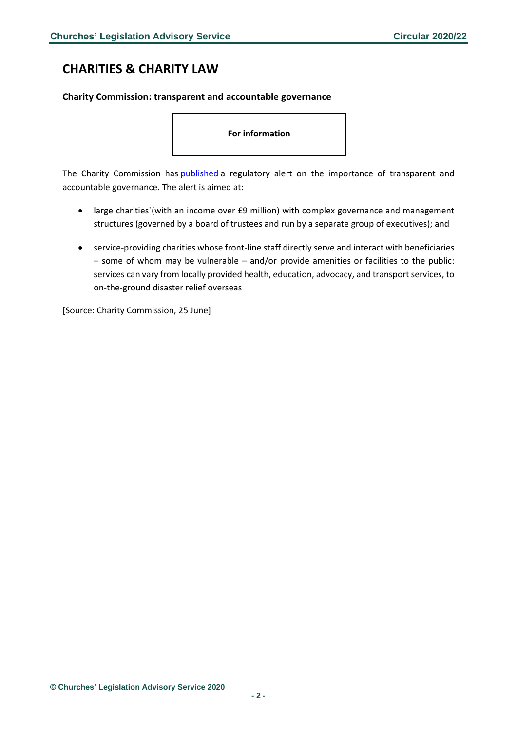# <span id="page-1-0"></span>**CHARITIES & CHARITY LAW**

## <span id="page-1-1"></span>**Charity Commission: transparent and accountable governance**

**For information**

The Charity Commission has [published](https://www.gov.uk/government/publications/alert-for-charities-the-importance-of-transparent-and-accountable-governance/alert-for-charities-the-importance-of-transparent-and-accountable-governance) a regulatory alert on the importance of transparent and accountable governance. The alert is aimed at:

- large charities`(with an income over £9 million) with complex governance and management structures (governed by a board of trustees and run by a separate group of executives); and
- service-providing charities whose front-line staff directly serve and interact with beneficiaries – some of whom may be vulnerable – and/or provide amenities or facilities to the public: services can vary from locally provided health, education, advocacy, and transport services, to on-the-ground disaster relief overseas

[Source: Charity Commission, 25 June]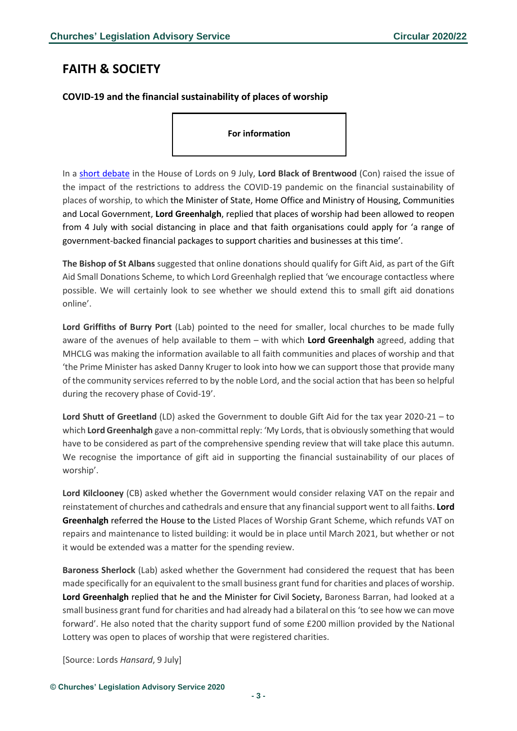# <span id="page-2-0"></span>**FAITH & SOCIETY**

# <span id="page-2-1"></span>**COVID-19 and the financial sustainability of places of worship**

**For information**

In a [short debate](https://hansard.parliament.uk/lords/2020-07-09/debates/F621FEEB-EF4F-4110-A1AE-35213917710B/Covid-19ChurchesAndPlacesOfWorship) in the House of Lords on 9 July, **Lord Black of Brentwood** (Con) raised the issue of the impact of the restrictions to address the COVID-19 pandemic on the financial sustainability of places of worship, to which the Minister of State, Home Office and Ministry of Housing, Communities and Local Government, **Lord Greenhalgh**, replied that places of worship had been allowed to reopen from 4 July with social distancing in place and that faith organisations could apply for 'a range of government-backed financial packages to support charities and businesses at this time'.

**The Bishop of St Albans** suggested that online donations should qualify for Gift Aid, as part of the Gift Aid Small Donations Scheme, to which Lord Greenhalgh replied that 'we encourage contactless where possible. We will certainly look to see whether we should extend this to small gift aid donations online'.

**Lord Griffiths of Burry Port** (Lab) pointed to the need for smaller, local churches to be made fully aware of the avenues of help available to them – with which **Lord Greenhalgh** agreed, adding that MHCLG was making the information available to all faith communities and places of worship and that 'the Prime Minister has asked Danny Kruger to look into how we can support those that provide many of the community services referred to by the noble Lord, and the social action that has been so helpful during the recovery phase of Covid-19'.

**Lord Shutt of Greetland** (LD) asked the Government to double Gift Aid for the tax year 2020-21 – to which **Lord Greenhalgh** gave a non-committal reply: 'My Lords, that is obviously something that would have to be considered as part of the comprehensive spending review that will take place this autumn. We recognise the importance of gift aid in supporting the financial sustainability of our places of worship'.

**Lord Kilclooney** (CB) asked whether the Government would consider relaxing VAT on the repair and reinstatement of churches and cathedrals and ensure that any financial support went to all faiths. **Lord Greenhalgh** referred the House to the Listed Places of Worship Grant Scheme, which refunds VAT on repairs and maintenance to listed building: it would be in place until March 2021, but whether or not it would be extended was a matter for the spending review.

**Baroness Sherlock** (Lab) asked whether the Government had considered the request that has been made specifically for an equivalent to the small business grant fund for charities and places of worship. **Lord Greenhalgh** replied that he and the Minister for Civil Society, Baroness Barran, had looked at a small business grant fund for charities and had already had a bilateral on this 'to see how we can move forward'. He also noted that the charity support fund of some £200 million provided by the National Lottery was open to places of worship that were registered charities.

[Source: Lords *Hansard*, 9 July]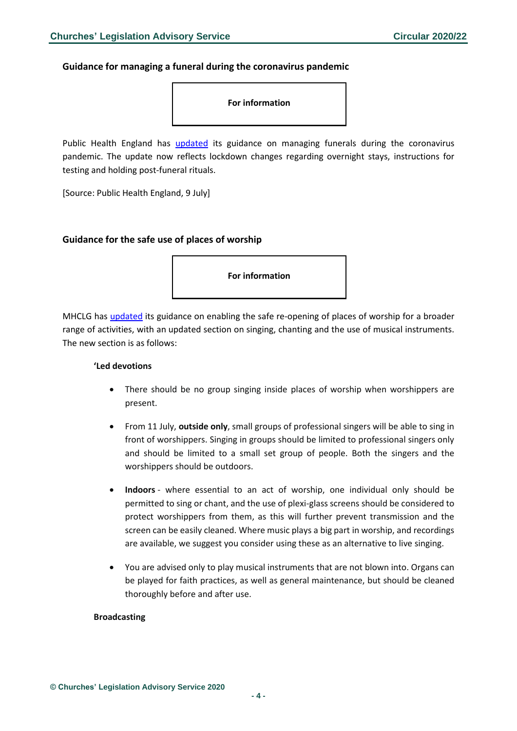### <span id="page-3-0"></span>**Guidance for managing a funeral during the coronavirus pandemic**



Public Health England has [updated](https://www.gov.uk/government/publications/covid-19-guidance-for-managing-a-funeral-during-the-coronavirus-pandemic/covid-19-guidance-for-managing-a-funeral-during-the-coronavirus-pandemic) its guidance on managing funerals during the coronavirus pandemic. The update now reflects lockdown changes regarding overnight stays, instructions for testing and holding post-funeral rituals.

[Source: Public Health England, 9 July]

#### <span id="page-3-1"></span>**Guidance for the safe use of places of worship**

**For information**

MHCLG has [updated](https://www.gov.uk/government/publications/covid-19-guidance-for-the-safe-use-of-places-of-worship-during-the-pandemic-from-4-july/covid-19-guidance-for-the-safe-use-of-places-of-worship-during-the-pandemic-from-4-july) its guidance on enabling the safe re-opening of places of worship for a broader range of activities, with an updated section on singing, chanting and the use of musical instruments. The new section is as follows:

#### **'Led devotions**

- There should be no group singing inside places of worship when worshippers are present.
- From 11 July, **outside only**, small groups of professional singers will be able to sing in front of worshippers. Singing in groups should be limited to professional singers only and should be limited to a small set group of people. Both the singers and the worshippers should be outdoors.
- **Indoors** where essential to an act of worship, one individual only should be permitted to sing or chant, and the use of plexi-glass screens should be considered to protect worshippers from them, as this will further prevent transmission and the screen can be easily cleaned. Where music plays a big part in worship, and recordings are available, we suggest you consider using these as an alternative to live singing.
- You are advised only to play musical instruments that are not blown into. Organs can be played for faith practices, as well as general maintenance, but should be cleaned thoroughly before and after use.

#### **Broadcasting**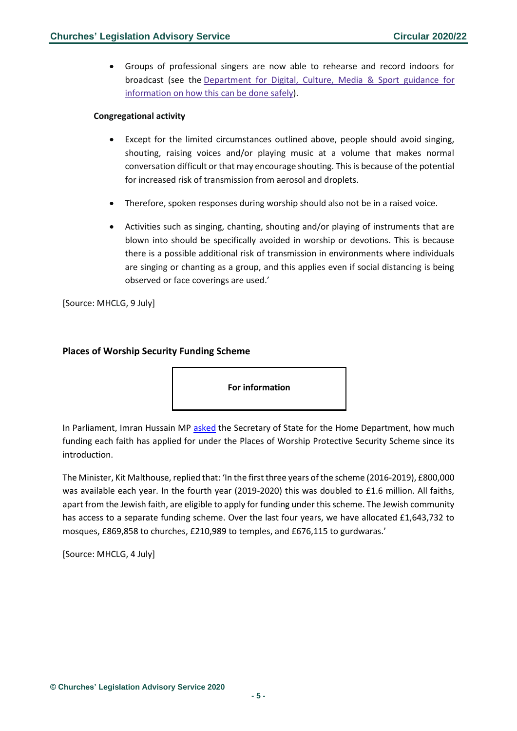• Groups of professional singers are now able to rehearse and record indoors for broadcast (see the [Department](https://www.gov.uk/guidance/working-safely-during-coronavirus-covid-19/performing-arts) for Digital, Culture, Media & Sport guidance for [information](https://www.gov.uk/guidance/working-safely-during-coronavirus-covid-19/performing-arts) on how this can be done safely).

#### **Congregational activity**

- Except for the limited circumstances outlined above, people should avoid singing, shouting, raising voices and/or playing music at a volume that makes normal conversation difficult or that may encourage shouting. This is because of the potential for increased risk of transmission from aerosol and droplets.
- Therefore, spoken responses during worship should also not be in a raised voice.
- Activities such as singing, chanting, shouting and/or playing of instruments that are blown into should be specifically avoided in worship or devotions. This is because there is a possible additional risk of transmission in environments where individuals are singing or chanting as a group, and this applies even if social distancing is being observed or face coverings are used.'

[Source: MHCLG, 9 July]

## <span id="page-4-0"></span>**Places of Worship Security Funding Scheme**

**For information**

In Parliament, Imran Hussain MP [asked](https://www.parliament.uk/business/publications/written-questions-answers-statements/written-question/Commons/2020-06-30/66880/) the Secretary of State for the Home Department, how much funding each faith has applied for under the Places of Worship Protective Security Scheme since its introduction.

The Minister, Kit Malthouse, replied that: 'In the first three years of the scheme (2016-2019), £800,000 was available each year. In the fourth year (2019-2020) this was doubled to £1.6 million. All faiths, apart from the Jewish faith, are eligible to apply for funding under this scheme. The Jewish community has access to a separate funding scheme. Over the last four years, we have allocated £1,643,732 to mosques, £869,858 to churches, £210,989 to temples, and £676,115 to gurdwaras.'

[Source: MHCLG, 4 July]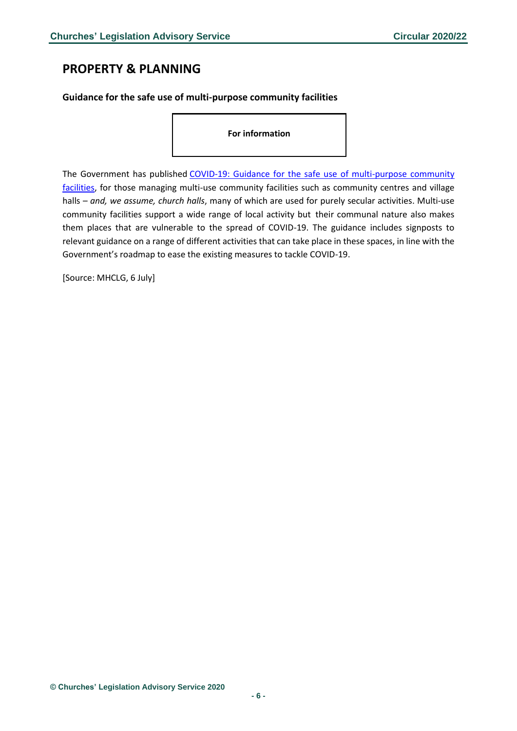# <span id="page-5-0"></span>**PROPERTY & PLANNING**

## <span id="page-5-1"></span>**Guidance for the safe use of multi-purpose community facilities**

**For information**

The Government has published COVID-19: Guidance for the safe use of multi-purpose community [facilities,](https://www.gov.uk/government/publications/covid-19-guidance-for-the-safe-use-of-multi-purpose-community-facilities/covid-19-guidance-for-the-safe-use-of-multi-purpose-community-facilities) for those managing multi-use community facilities such as community centres and village halls – *and, we assume, church halls*, many of which are used for purely secular activities. Multi-use community facilities support a wide range of local activity but their communal nature also makes them places that are vulnerable to the spread of COVID-19. The guidance includes signposts to relevant guidance on a range of different activities that can take place in these spaces, in line with the Government's roadmap to ease the existing measures to tackle COVID-19.

[Source: MHCLG, 6 July]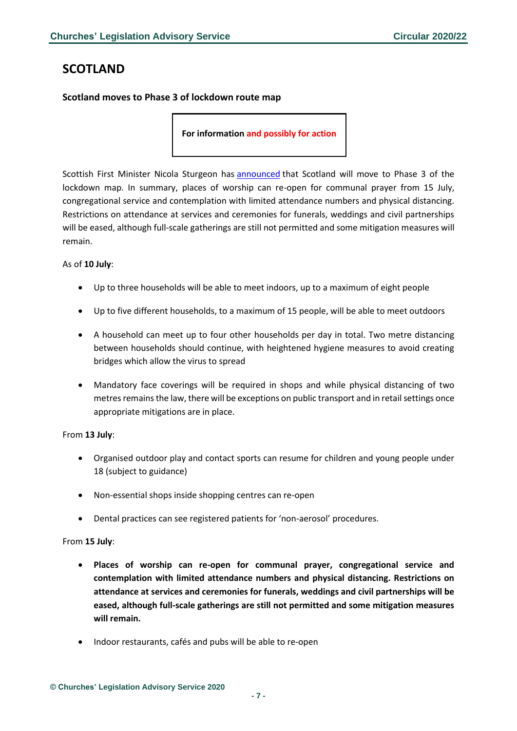# <span id="page-6-0"></span>**SCOTLAND**

## <span id="page-6-1"></span>**Scotland moves to Phase 3 of lockdown route map**

**For information and possibly for action**

Scottish First Minister Nicola Sturgeon has [announced](https://www.gov.scot/news/moving-to-phase-3-of-lockdown-route-map/) that Scotland will move to Phase 3 of the lockdown map. In summary, places of worship can re-open for communal prayer from 15 July, congregational service and contemplation with limited attendance numbers and physical distancing. Restrictions on attendance at services and ceremonies for funerals, weddings and civil partnerships will be eased, although full-scale gatherings are still not permitted and some mitigation measures will remain.

#### As of **10 July**:

- Up to three households will be able to meet indoors, up to a maximum of eight people
- Up to five different households, to a maximum of 15 people, will be able to meet outdoors
- A household can meet up to four other households per day in total. Two metre distancing between households should continue, with heightened hygiene measures to avoid creating bridges which allow the virus to spread
- Mandatory face coverings will be required in shops and while physical distancing of two metres remains the law, there will be exceptions on public transport and in retail settings once appropriate mitigations are in place.

#### From **13 July**:

- Organised outdoor play and contact sports can resume for children and young people under 18 (subject to guidance)
- Non-essential shops inside shopping centres can re-open
- Dental practices can see registered patients for 'non-aerosol' procedures.

#### From **15 July**:

- **Places of worship can re-open for communal prayer, congregational service and contemplation with limited attendance numbers and physical distancing. Restrictions on attendance at services and ceremonies for funerals, weddings and civil partnerships will be eased, although full-scale gatherings are still not permitted and some mitigation measures will remain.**
- Indoor restaurants, cafés and pubs will be able to re-open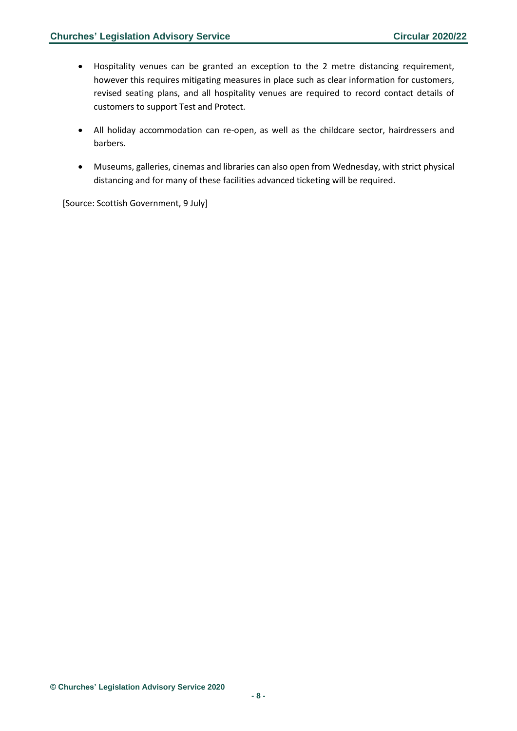- Hospitality venues can be granted an exception to the 2 metre distancing requirement, however this requires mitigating measures in place such as clear information for customers, revised seating plans, and all hospitality venues are required to record contact details of customers to support Test and Protect.
- All holiday accommodation can re-open, as well as the childcare sector, hairdressers and barbers.
- Museums, galleries, cinemas and libraries can also open from Wednesday, with strict physical distancing and for many of these facilities advanced ticketing will be required.

[Source: Scottish Government, 9 July]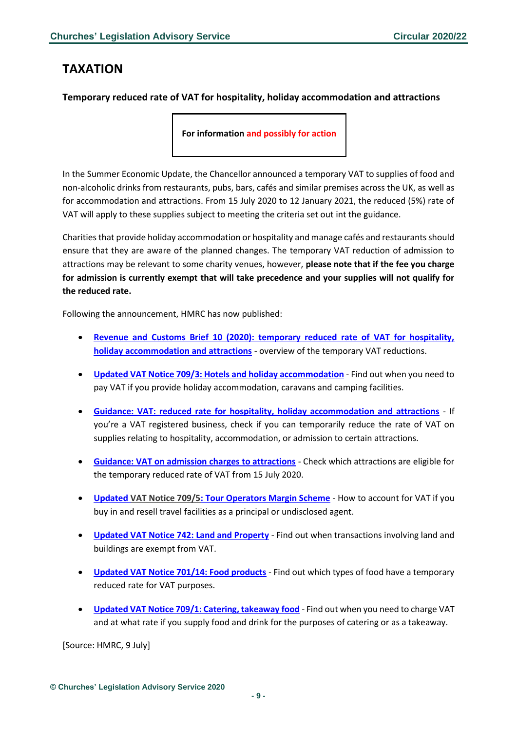# <span id="page-8-0"></span>**TAXATION**

## <span id="page-8-1"></span>**Temporary reduced rate of VAT for hospitality, holiday accommodation and attractions**

**For information and possibly for action**

In the Summer Economic Update, the Chancellor announced a temporary VAT to supplies of food and non-alcoholic drinks from restaurants, pubs, bars, cafés and similar premises across the UK, as well as for accommodation and attractions. From 15 July 2020 to 12 January 2021, the reduced (5%) rate of VAT will apply to these supplies subject to meeting the criteria set out int the guidance.

Charities that provide holiday accommodation or hospitality and manage cafés and restaurants should ensure that they are aware of the planned changes. The temporary VAT reduction of admission to attractions may be relevant to some charity venues, however, **please note that if the fee you charge for admission is currently exempt that will take precedence and your supplies will not qualify for the reduced rate.**

Following the announcement, HMRC has now published:

- **[Revenue and Customs Brief 10 \(2020\): temporary reduced rate of VAT for hospitality,](https://www.gov.uk/government/publications/revenue-and-customs-brief-10-2020-temporary-reduced-rate-of-vat-for-hospitality-holiday-accommodation-and-attractions)  [holiday accommodation and attractions](https://www.gov.uk/government/publications/revenue-and-customs-brief-10-2020-temporary-reduced-rate-of-vat-for-hospitality-holiday-accommodation-and-attractions)** - overview of the temporary VAT reductions.
- **[Updated VAT Notice 709/3: Hotels and holiday accommodation](https://www.gov.uk/guidance/hotels-holiday-accommodation-and-vat-notice-7093)** Find out when you need to pay VAT if you provide holiday accommodation, caravans and camping facilities.
- **[Guidance: VAT: reduced rate for hospitality, holiday accommodation and attractions](https://www.gov.uk/guidance/vat-reduced-rate-for-hospitality-holiday-accommodation-and-attractions)** If you're a VAT registered business, check if you can temporarily reduce the rate of VAT on supplies relating to hospitality, accommodation, or admission to certain attractions.
- **[Guidance: VAT on admission charges to attractions](https://www.gov.uk/guidance/vat-on-admission-charges-to-attractions)** Check which attractions are eligible for the temporary reduced rate of VAT from 15 July 2020.
- **[Updated VAT Notice 709/5: Tour Operators Margin Scheme](https://www.gov.uk/guidance/tour-operators-margin-scheme-for-vat-notice-7095)** How to account for VAT if you buy in and resell travel facilities as a principal or undisclosed agent.
- **[Updated VAT Notice 742: Land and Property](https://www.gov.uk/guidance/vat-on-land-and-property-notice-742)** Find out when transactions involving land and buildings are exempt from VAT.
- **[Updated VAT Notice 701/14: Food products](https://www.gov.uk/guidance/food-products-and-vat-notice-70114#history)** Find out which types of food have a temporary reduced rate for VAT purposes.
- **[Updated VAT Notice 709/1: Catering, takeaway food](https://www.gov.uk/guidance/catering-takeaway-food-and-vat-notice-7091#history)** Find out when you need to charge VAT and at what rate if you supply food and drink for the purposes of catering or as a takeaway.

[Source: HMRC, 9 July]